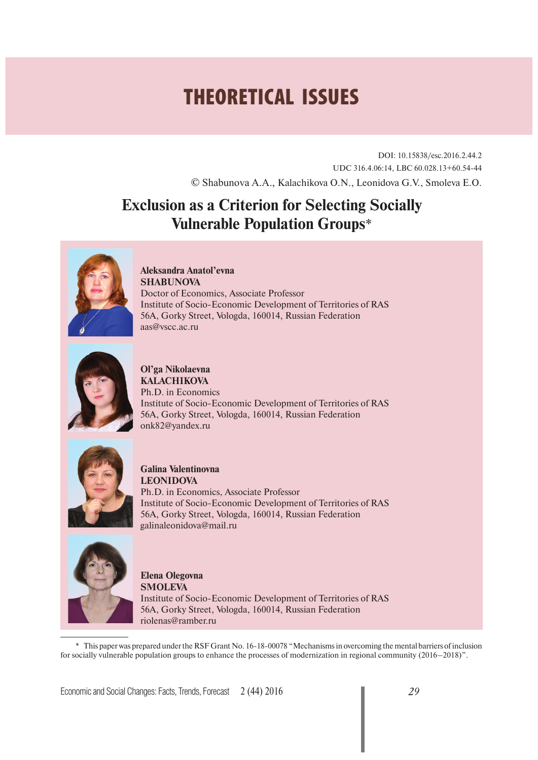# **THEORETICAL ISSUES**

DOI: 10.15838/esc.2016.2.44.2 UDC 316.4.06:14, LBC 60.028.13+60.54-44 © Shabunova A.A., Kalachikova O.N., Leonidova G.V., Smoleva E.O.

## **Exclusion as a Criterion for Selecting Socially Vulnerable Population Groups**\*



**Aleksandra Anatol'evna SHABUNOVA** Doctor of Economics, Associate Professor Institute of Socio-Economic Development of Territories of RAS 56A, Gorky Street, Vologda, 160014, Russian Federation aas@vscc.ac.ru



**Ol'ga Nikolaevna KALACHIKOVA** Ph.D. in Economics Institute of Socio-Economic Development of Territories of RAS 56A, Gorky Street, Vologda, 160014, Russian Federation onk82@yandex.ru



**Galina Valentinovna LEONIDOVA** 

Ph.D. in Economics, Associate Professor Institute of Socio-Economic Development of Territories of RAS 56A, Gorky Street, Vologda, 160014, Russian Federation galinaleonidova@mail.ru



**Elena Olegovna SMOLEVA** Institute of Socio-Economic Development of Territories of RAS 56A, Gorky Street, Vologda, 160014, Russian Federation riolenas@ramber.ru

\* This paper was prepared under the RSF Grant No. 16-18-00078 "Mechanisms in overcoming the mental barriers of inclusion for socially vulnerable population groups to enhance the processes of modernization in regional community (2016–2018)".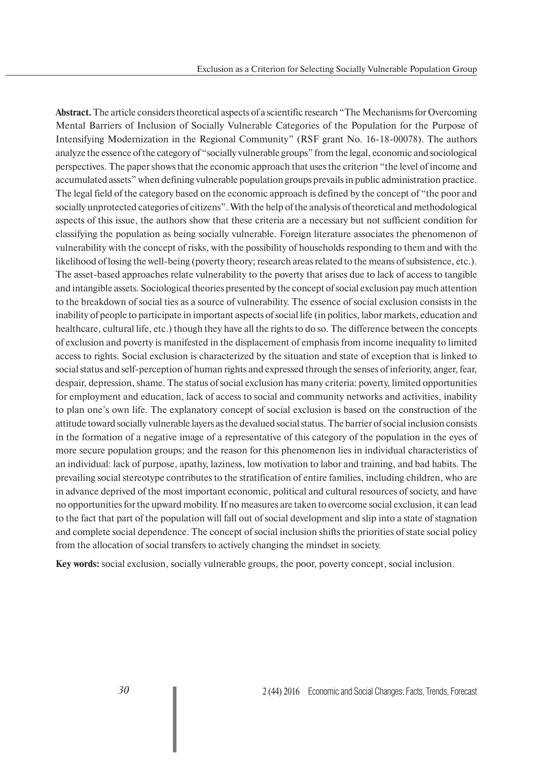**Abstract.** The article considers theoretical aspects of a scientific research "The Mechanisms for Overcoming Mental Barriers of Inclusion of Socially Vulnerable Categories of the Population for the Purpose of Intensifying Modernization in the Regional Community" (RSF grant No. 16-18-00078). The authors analyze the essence of the category of "socially vulnerable groups" from the legal, economic and sociological perspectives. The paper shows that the economic approach that uses the criterion "the level of income and accumulated assets" when defining vulnerable population groups prevails in public administration practice. The legal field of the category based on the economic approach is defined by the concept of "the poor and socially unprotected categories of citizens". With the help of the analysis of theoretical and methodological aspects of this issue, the authors show that these criteria are a necessary but not sufficient condition for classifying the population as being socially vulnerable. Foreign literature associates the phenomenon of vulnerability with the concept of risks, with the possibility of households responding to them and with the likelihood of losing the well-being (poverty theory; research areas related to the means of subsistence, etc.). The asset-based approaches relate vulnerability to the poverty that arises due to lack of access to tangible and intangible assets. Sociological theories presented by the concept of social exclusion pay much attention to the breakdown of social ties as a source of vulnerability. The essence of social exclusion consists in the inability of people to participate in important aspects of social life (in politics, labor markets, education and healthcare, cultural life, etc.) though they have all the rights to do so. The difference between the concepts of exclusion and poverty is manifested in the displacement of emphasis from income inequality to limited access to rights. Social exclusion is characterized by the situation and state of exception that is linked to social status and self-perception of human rights and expressed through the senses of inferiority, anger, fear, despair, depression, shame. The status of social exclusion has many criteria: poverty, limited opportunities for employment and education, lack of access to social and community networks and activities, inability to plan one's own life. The explanatory concept of social exclusion is based on the construction of the attitude toward socially vulnerable layers as the devalued social status. The barrier of social inclusion consists in the formation of a negative image of a representative of this category of the population in the eyes of more secure population groups; and the reason for this phenomenon lies in individual characteristics of an individual: lack of purpose, apathy, laziness, low motivation to labor and training, and bad habits. The prevailing social stereotype contributes to the stratification of entire families, including children, who are in advance deprived of the most important economic, political and cultural resources of society, and have no opportunities for the upward mobility. If no measures are taken to overcome social exclusion, it can lead to the fact that part of the population will fall out of social development and slip into a state of stagnation and complete social dependence. The concept of social inclusion shifts the priorities of state social policy from the allocation of social transfers to actively changing the mindset in society.

**Key words:** social exclusion, socially vulnerable groups, the poor, poverty concept, social inclusion.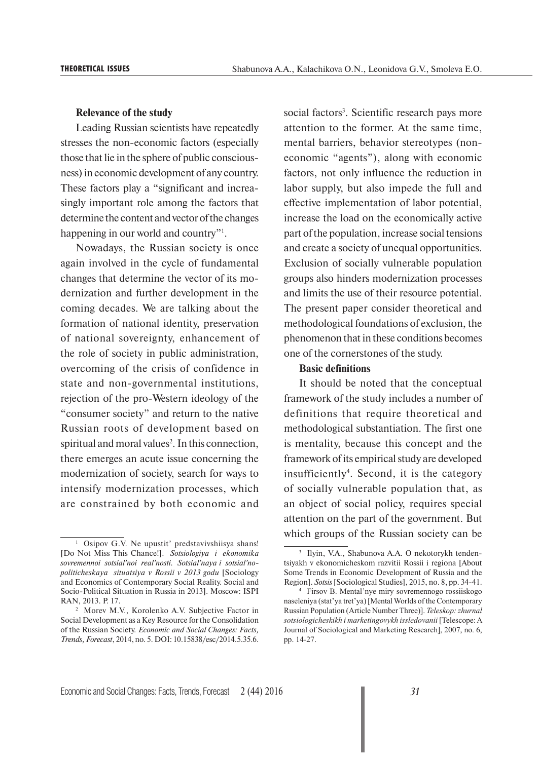#### **Relevance of the study**

Leading Russian scientists have repeatedly stresses the non-economic factors (especially those that lie in the sphere of public consciousness) in economic development of any country. These factors play a "significant and increasingly important role among the factors that determine the content and vector of the changes happening in our world and country"<sup>1</sup>.

Nowadays, the Russian society is once again involved in the cycle of fundamental changes that determine the vector of its modernization and further development in the coming decades. We are talking about the formation of national identity, preservation of national sovereignty, enhancement of the role of society in public administration, overcoming of the crisis of confidence in state and non-governmental institutions, rejection of the pro-Western ideology of the "consumer society" and return to the native Russian roots of development based on spiritual and moral values<sup>2</sup>. In this connection, there emerges an acute issue concerning the modernization of society, search for ways to intensify modernization processes, which are constrained by both economic and

social factors<sup>3</sup>. Scientific research pays more attention to the former. At the same time, mental barriers, behavior stereotypes (noneconomic "agents"), along with economic factors, not only influence the reduction in labor supply, but also impede the full and effective implementation of labor potential, increase the load on the economically active part of the population, increase social tensions and create a society of unequal opportunities. Exclusion of socially vulnerable population groups also hinders modernization processes and limits the use of their resource potential. The present paper consider theoretical and methodological foundations of exclusion, the phenomenon that in these conditions becomes one of the cornerstones of the study.

#### **Basic definitions**

It should be noted that the conceptual framework of the study includes a number of definitions that require theoretical and methodological substantiation. The first one is mentality, because this concept and the framework of its empirical study are developed insufficiently4 . Second, it is the category of socially vulnerable population that, as an object of social policy, requires special attention on the part of the government. But which groups of the Russian society can be

<sup>1</sup> Osipov G.V. Ne upustit' predstavivshiisya shans! [Do Not Miss This Chance!]. *Sotsiologiya i ekonomika sovremennoi sotsial'noi real'nosti. Sotsial'naya i sotsial'nopoliticheskaya situatsiya v Rossii v 2013 godu* [Sociology and Economics of Contemporary Social Reality. Social and Socio-Political Situation in Russia in 2013]. Moscow: ISPI RAN, 2013. P. 17.

<sup>2</sup> Morev M.V., Korolenko A.V. Subjective Factor in Social Development as a Key Resource for the Consolidation of the Russian Society. *Economic and Social Changes: Facts, Trends, Forecast*, 2014, no. 5. DOI: 10.15838/esc/2014.5.35.6.

<sup>3</sup> Ilyin, V.A., Shabunova A.A. O nekotorykh tendentsiyakh v ekonomicheskom razvitii Rossii i regiona [About Some Trends in Economic Development of Russia and the Region]. *Sotsis* [Sociological Studies], 2015, no. 8, pp. 34-41.

<sup>4</sup> Firsov B. Mental'nye miry sovremennogo rossiiskogo naseleniya (stat'ya tret'ya) [Mental Worlds of the Contemporary Russian Population (Article Number Three)]. *Teleskop: zhurnal sotsiologicheskikh i marketingovykh issledovanii* [Telescope: A Journal of Sociological and Marketing Research], 2007, no. 6, pp. 14-27.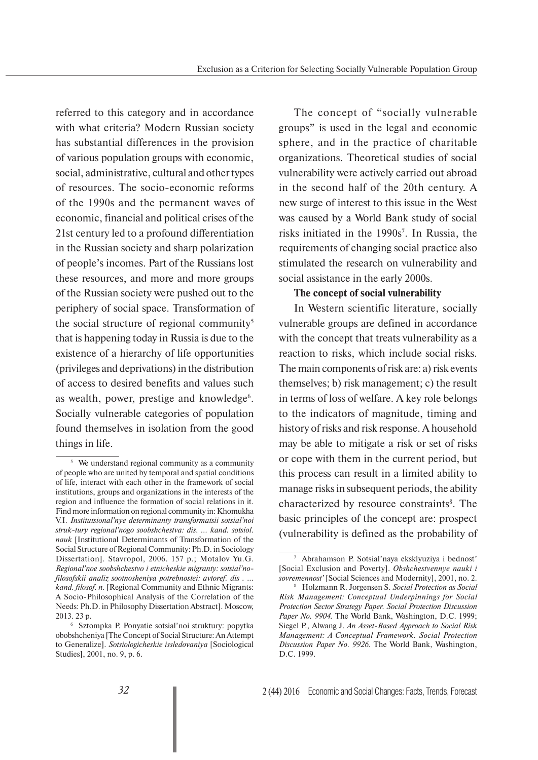referred to this category and in accordance with what criteria? Modern Russian society has substantial differences in the provision of various population groups with economic, social, administrative, cultural and other types of resources. The socio-economic reforms of the 1990s and the permanent waves of economic, financial and political crises of the 21st century led to a profound differentiation in the Russian society and sharp polarization of people's incomes. Part of the Russians lost these resources, and more and more groups of the Russian society were pushed out to the periphery of social space. Transformation of the social structure of regional community<sup>5</sup> that is happening today in Russia is due to the existence of a hierarchy of life opportunities (privileges and deprivations) in the distribution of access to desired benefits and values such as wealth, power, prestige and knowledge<sup>6</sup>. Socially vulnerable categories of population found themselves in isolation from the good things in life.

The concept of "socially vulnerable groups" is used in the legal and economic sphere, and in the practice of charitable organizations. Theoretical studies of social vulnerability were actively carried out abroad in the second half of the 20th century. A new surge of interest to this issue in the West was caused by a World Bank study of social risks initiated in the 1990s<sup>7</sup>. In Russia, the requirements of changing social practice also stimulated the research on vulnerability and social assistance in the early 2000s.

#### **The concept of social vulnerability**

In Western scientific literature, socially vulnerable groups are defined in accordance with the concept that treats vulnerability as a reaction to risks, which include social risks. The main components of risk are: a) risk events themselves; b) risk management; c) the result in terms of loss of welfare. A key role belongs to the indicators of magnitude, timing and history of risks and risk response. A household may be able to mitigate a risk or set of risks or cope with them in the current period, but this process can result in a limited ability to manage risks in subsequent periods, the ability characterized by resource constraints<sup>8</sup>. The basic principles of the concept are: prospect (vulnerability is defined as the probability of

<sup>&</sup>lt;sup>5</sup> We understand regional community as a community of people who are united by temporal and spatial conditions of life, interact with each other in the framework of social institutions, groups and organizations in the interests of the region and influence the formation of social relations in it. Find more information on regional community in: Khomukha V.I. *Institutsional'nye determinanty transformatsii sotsial'noi struk-tury regional'nogo soobshchestva: dis. … kand. sotsiol. nauk* [Institutional Determinants of Transformation of the Social Structure of Regional Community: Ph.D. in Sociology Dissertation]. Stavropol, 2006. 157 p.; Motalov Yu.G. *Regional'noe soobshchestvo i etnicheskie migranty: sotsial'nofilosofskii analiz sootnosheniya potrebnostei: avtoref. dis . … kand. filosof. n.* [Regional Community and Ethnic Migrants: A Socio-Philosophical Analysis of the Correlation of the Needs: Ph.D. in Philosophy Dissertation Abstract]. Moscow, 2013. 23 p.

<sup>&</sup>lt;sup>6</sup> Sztompka P. Ponyatie sotsial'noi struktury: popytka obobshcheniya [The Concept of Social Structure: An Attempt to Generalize]. *Sotsiologicheskie issledovaniya* [Sociological Studies], 2001, no. 9, p. 6.

<sup>7</sup> Abrahamson P. Sotsial'naya eksklyuziya i bednost' [Social Exclusion and Poverty]. *Obshchestvennye nauki i sovremennost'* [Social Sciences and Modernity], 2001, no. 2.

<sup>8</sup> Holzmann R. Jorgensen S. *Social Protection as Social Risk Management: Conceptual Underpinnings for Social Protection Sector Strategy Paper. Social Protection Discussion Paper No. 9904.* The World Bank, Washington, D.C. 1999; Siegel P., Alwang J. *An Asset-Based Approach to Social Risk Management: A Conceptual Framework. Social Protection Discussion Paper No. 9926.* The World Bank, Washington, D.C. 1999.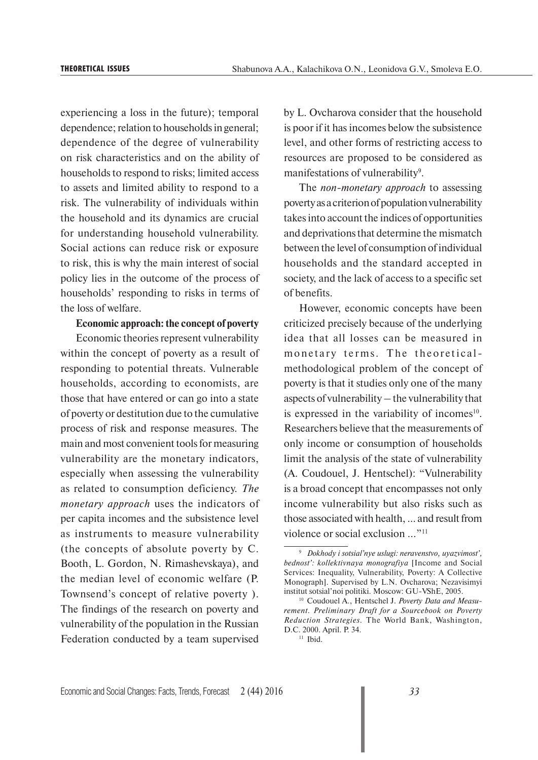experiencing a loss in the future); temporal dependence; relation to households in general; dependence of the degree of vulnerability on risk characteristics and on the ability of households to respond to risks; limited access to assets and limited ability to respond to a risk. The vulnerability of individuals within the household and its dynamics are crucial for understanding household vulnerability. Social actions can reduce risk or exposure to risk, this is why the main interest of social policy lies in the outcome of the process of households' responding to risks in terms of the loss of welfare.

#### **Economic approach: the concept of poverty**

Economic theories represent vulnerability within the concept of poverty as a result of responding to potential threats. Vulnerable households, according to economists, are those that have entered or can go into a state of poverty or destitution due to the cumulative process of risk and response measures. The main and most convenient tools for measuring vulnerability are the monetary indicators, especially when assessing the vulnerability as related to consumption deficiency. *The monetary approach* uses the indicators of per capita incomes and the subsistence level as instruments to measure vulnerability (the concepts of absolute poverty by C. Booth, L. Gordon, N. Rimashevskaya), and the median level of economic welfare (P. Townsend's concept of relative poverty ). The findings of the research on poverty and vulnerability of the population in the Russian Federation conducted by a team supervised

by L. Ovcharova consider that the household is poor if it has incomes below the subsistence level, and other forms of restricting access to resources are proposed to be considered as manifestations of vulnerability<sup>9</sup>.

The *non-monetary approach* to assessing poverty as a criterion of population vulnerability takes into account the indices of opportunities and deprivations that determine the mismatch between the level of consumption of individual households and the standard accepted in society, and the lack of access to a specific set of benefits.

However, economic concepts have been criticized precisely because of the underlying idea that all losses can be measured in monetary terms. The theoreticalmethodological problem of the concept of poverty is that it studies only one of the many aspects of vulnerability – the vulnerability that is expressed in the variability of incomes $10$ . Researchers believe that the measurements of only income or consumption of households limit the analysis of the state of vulnerability (A. Coudouel, J. Hentschel): "Vulnerability is a broad concept that encompasses not only income vulnerability but also risks such as those associated with health, ... and result from violence or social exclusion ..."11

<sup>9</sup> *Dokhody i sotsial'nye uslugi: neravenstvo, uyazvimost', bednost': kollektivnaya monografiya* [Income and Social Services: Inequality, Vulnerability, Poverty: A Collective Monograph]. Supervised by L.N. Ovcharova; Nezavisimyi institut sotsial'noi politiki. Moscow: GU-VShE, 2005.

<sup>10</sup> Coudouel A., Hentschel J. *Poverty Data and Measurement. Preliminary Draft for a Sourcebook on Poverty Reduction Strategies.* The World Bank, Washington, D.C. 2000. April. Р. 34.

 $11$  Ibid.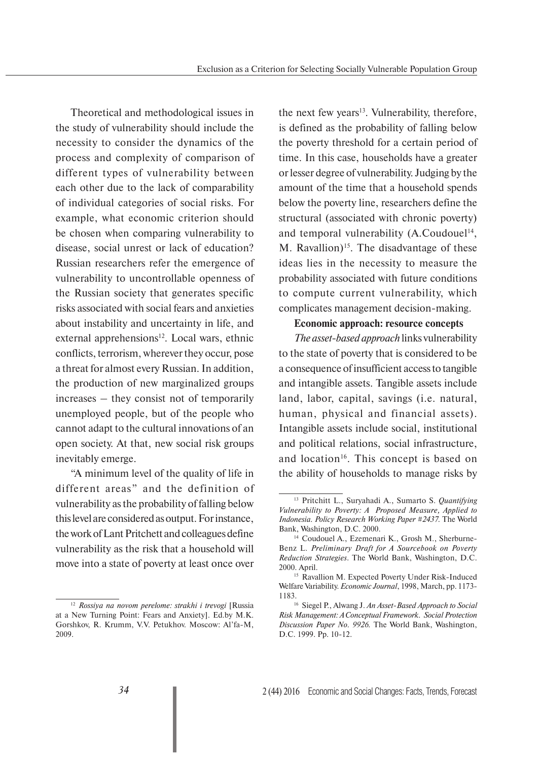Theoretical and methodological issues in the study of vulnerability should include the necessity to consider the dynamics of the process and complexity of comparison of different types of vulnerability between each other due to the lack of comparability of individual categories of social risks. For example, what economic criterion should be chosen when comparing vulnerability to disease, social unrest or lack of education? Russian researchers refer the emergence of vulnerability to uncontrollable openness of the Russian society that generates specific risks associated with social fears and anxieties about instability and uncertainty in life, and external apprehensions<sup>12</sup>. Local wars, ethnic conflicts, terrorism, wherever they occur, pose a threat for almost every Russian. In addition, the production of new marginalized groups increases – they consist not of temporarily unemployed people, but of the people who cannot adapt to the cultural innovations of an open society. At that, new social risk groups inevitably emerge.

"A minimum level of the quality of life in different areas" and the definition of vulnerability as the probability of falling below this level are considered as output. For instance, the work of Lant Pritchett and colleagues define vulnerability as the risk that a household will move into a state of poverty at least once over

the next few years $13$ . Vulnerability, therefore, is defined as the probability of falling below the poverty threshold for a certain period of time. In this case, households have a greater or lesser degree of vulnerability. Judging by the amount of the time that a household spends below the poverty line, researchers define the structural (associated with chronic poverty) and temporal vulnerability  $(A.Coudouel<sup>14</sup>,$ M. Ravallion)<sup>15</sup>. The disadvantage of these ideas lies in the necessity to measure the probability associated with future conditions to compute current vulnerability, which complicates management decision-making.

#### **Economic approach: resource concepts**

*The asset-based approach* links vulnerability to the state of poverty that is considered to be a consequence of insufficient access to tangible and intangible assets. Tangible assets include land, labor, capital, savings (i.e. natural, human, physical and financial assets). Intangible assets include social, institutional and political relations, social infrastructure, and location<sup>16</sup>. This concept is based on the ability of households to manage risks by

<sup>12</sup> *Rossiya na novom perelome: strakhi i trevogi* [Russia at a New Turning Point: Fears and Anxiety]. Ed.by M.K. Gorshkov, R. Krumm, V.V. Petukhov. Moscow: Al'fa-M, 2009.

<sup>13</sup> Pritchitt L., Suryahadi A., Sumarto S. *Quantifying Vulnerability to Poverty: A Proposed Measure, Applied to Indonesia. Policy Research Working Paper #2437.* The World Bank, Washington, D.C. 2000.

<sup>14</sup> Coudouel A., Ezemenari K., Grosh M., Sherburne-Benz L. *Preliminary Draft for A Sourcebook on Poverty Reduction Strategies*. The World Bank, Washington, D.C. 2000. April.

<sup>&</sup>lt;sup>15</sup> Ravallion M. Expected Poverty Under Risk-Induced Welfare Variability. *Economic Journal*, 1998, March, pp. 1173-

<sup>&</sup>lt;sup>16</sup> Siegel P., Alwang J. *An Asset-Based Approach to Social Risk Management: A Conceptual Framework. Social Protection Discussion Paper No. 9926.* The World Bank, Washington, D.C. 1999. Pp. 10-12.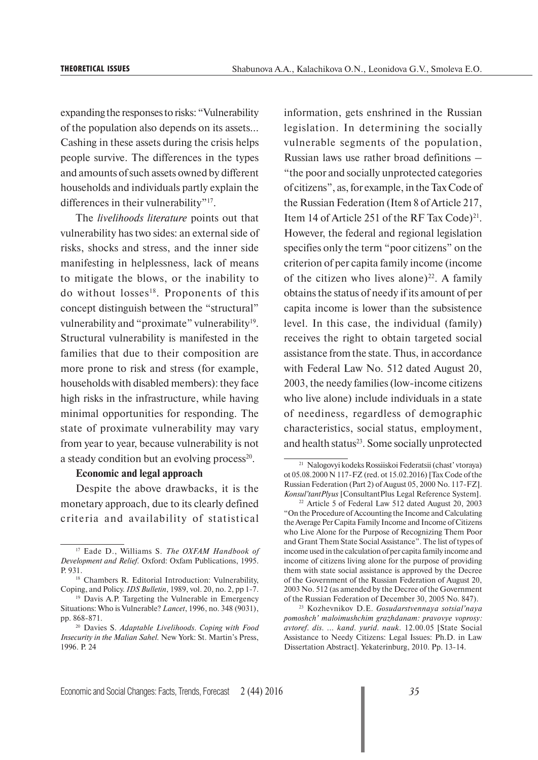expanding the responses to risks: "Vulnerability of the population also depends on its assets... Cashing in these assets during the crisis helps people survive. The differences in the types and amounts of such assets owned by different households and individuals partly explain the differences in their vulnerability"<sup>17</sup>.

The *livelihoods literature* points out that vulnerability has two sides: an external side of risks, shocks and stress, and the inner side manifesting in helplessness, lack of means to mitigate the blows, or the inability to do without losses<sup>18</sup>. Proponents of this concept distinguish between the "structural" vulnerability and "proximate" vulnerability<sup>19</sup>. Structural vulnerability is manifested in the families that due to their composition are more prone to risk and stress (for example, households with disabled members): they face high risks in the infrastructure, while having minimal opportunities for responding. The state of proximate vulnerability may vary from year to year, because vulnerability is not a steady condition but an evolving process $2^0$ .

#### **Economic and legal approach**

Despite the above drawbacks, it is the monetary approach, due to its clearly defined criteria and availability of statistical

information, gets enshrined in the Russian legislation. In determining the socially vulnerable segments of the population, Russian laws use rather broad definitions – "the poor and socially unprotected categories of citizens", as, for example, in the Tax Code of the Russian Federation (Item 8 of Article 217, Item 14 of Article 251 of the RF Tax Code)<sup>21</sup>. However, the federal and regional legislation specifies only the term "poor citizens" on the criterion of per capita family income (income of the citizen who lives alone)<sup>22</sup>. A family obtains the status of needy if its amount of per capita income is lower than the subsistence level. In this case, the individual (family) receives the right to obtain targeted social assistance from the state. Thus, in accordance with Federal Law No. 512 dated August 20, 2003, the needy families (low-income citizens who live alone) include individuals in a state of neediness, regardless of demographic characteristics, social status, employment, and health status<sup>23</sup>. Some socially unprotected

<sup>17</sup> Eade D., Williams S. *The OXFAM Handbook of Development and Relief.* Oxford: Oxfam Publications, 1995. Р. 931.

<sup>18</sup> Chambers R. Editorial Introduction: Vulnerability, Coping, and Policy. *IDS Bulletin*, 1989, vol. 20, no. 2, pp 1-7.

<sup>19</sup> Davis A.P. Targeting the Vulnerable in Emergency Situations: Who is Vulnerable? *Lancet*, 1996, no. 348 (9031), pp. 868-871.

<sup>20</sup> Davies S. *Adaptable Livelihoods. Coping with Food Insecurity in the Malian Sahel.* New York: St. Martin's Press, 1996. P. 24

<sup>21</sup> Nalogovyi kodeks Rossiiskoi Federatsii (chast' vtoraya) ot 05.08.2000 N 117-FZ (red. ot 15.02.2016) [Tax Code of the Russian Federation (Part 2) of August 05, 2000 No. 117-FZ]. *Konsul'tantPlyus* [ConsultantPlus Legal Reference System]. 22 Article 5 of Federal Law 512 dated August 20, 2003

<sup>&</sup>quot;On the Procedure of Accounting the Income and Calculating the Average Per Capita Family Income and Income of Citizens who Live Alone for the Purpose of Recognizing Them Poor and Grant Them State Social Assistance". The list of types of income used in the calculation of per capita family income and income of citizens living alone for the purpose of providing them with state social assistance is approved by the Decree of the Government of the Russian Federation of August 20, 2003 No. 512 (as amended by the Decree of the Government of the Russian Federation of December 30, 2005 No. 847).

<sup>23</sup> Kozhevnikov D.E. *Gosudarstvennaya sotsial'naya pomoshch' maloimushchim grazhdanam: pravovye voprosy: avtoref. dis. ... kand. yurid. nauk.* 12.00.05 [State Social Assistance to Needy Citizens: Legal Issues: Ph.D. in Law Dissertation Abstract]. Yekaterinburg, 2010. Pp. 13-14.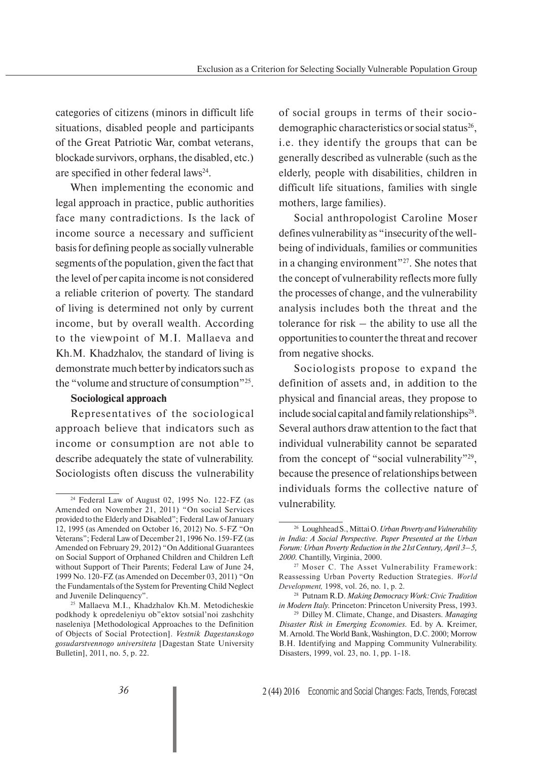categories of citizens (minors in difficult life situations, disabled people and participants of the Great Patriotic War, combat veterans, blockade survivors, orphans, the disabled, etc.) are specified in other federal laws<sup>24</sup>.

When implementing the economic and legal approach in practice, public authorities face many contradictions. Is the lack of income source a necessary and sufficient basis for defining people as socially vulnerable segments of the population, given the fact that the level of per capita income is not considered a reliable criterion of poverty. The standard of living is determined not only by current income, but by overall wealth. According to the viewpoint of M.I. Mallaeva and Kh.M. Khadzhalov, the standard of living is demonstrate much better by indicators such as the "volume and structure of consumption"25.

#### **Sociological approach**

Representatives of the sociological approach believe that indicators such as income or consumption are not able to describe adequately the state of vulnerability. Sociologists often discuss the vulnerability of social groups in terms of their sociodemographic characteristics or social status<sup>26</sup>, i.e. they identify the groups that can be generally described as vulnerable (such as the elderly, people with disabilities, children in difficult life situations, families with single mothers, large families).

Social anthropologist Caroline Moser defines vulnerability as "insecurity of the wellbeing of individuals, families or communities in a changing environment"27. She notes that the concept of vulnerability reflects more fully the processes of change, and the vulnerability analysis includes both the threat and the tolerance for risk – the ability to use all the opportunities to counter the threat and recover from negative shocks.

Sociologists propose to expand the definition of assets and, in addition to the physical and financial areas, they propose to include social capital and family relationships $28$ . Several authors draw attention to the fact that individual vulnerability cannot be separated from the concept of "social vulnerability"29, because the presence of relationships between individuals forms the collective nature of vulnerability.

 $24$  Federal Law of August 02, 1995 No. 122-FZ (as Amended on November 21, 2011) "On social Services provided to the Elderly and Disabled"; Federal Law of January 12, 1995 (as Amended on October 16, 2012) No. 5-FZ "On Veterans"; Federal Law of December 21, 1996 No. 159-FZ (as Amended on February 29, 2012) "On Additional Guarantees on Social Support of Orphaned Children and Children Left without Support of Their Parents; Federal Law of June 24, 1999 No. 120-FZ (as Amended on December 03, 2011) "On the Fundamentals of the System for Preventing Child Neglect and Juvenile Delinquency".

<sup>25</sup> Mallaeva M.I., Khadzhalov Kh.M. Metodicheskie podkhody k opredeleniyu ob"ektov sotsial'noi zashchity naseleniya [Methodological Approaches to the Definition of Objects of Social Protection]. *Vestnik Dagestanskogo gosudarstvennogo universiteta* [Dagestan State University Bulletin], 2011, no. 5, p. 22.

<sup>26</sup> Loughhead S., Mittai O. *Urban Poverty and Vulnerability in India: A Social Perspective. Paper Presented at the Urban Forum: Urban Poverty Reduction in the 21st Century, April 3–5, 2000*. Chantilly, Virginia, 2000.

<sup>27</sup> Moser C. The Asset Vulnerability Framework: Reassessing Urban Poverty Reduction Strategies. *World Development,* 1998, vol. 26, no. 1, p. 2.

<sup>28</sup> Putnam R.D. *Making Democracy Work: Civic Tradition in Modern Italy.* Princeton: Princeton University Press, 1993.

<sup>29</sup> Dilley M. Climate, Change, and Disasters. *Managing Disaster Risk in Emerging Economies.* Ed. by A. Kreimer, M. Arnold. The World Bank, Washington, D.C. 2000; Morrow B.H. Identifying and Mapping Community Vulnerability. Disasters, 1999, vol. 23, no. 1, pp. 1-18.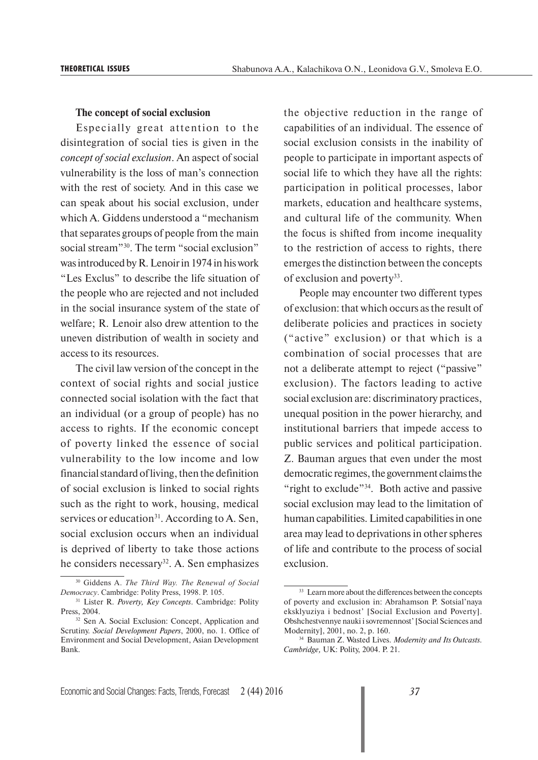#### **The concept of social exclusion**

Especially great attention to the disintegration of social ties is given in the *concept of social exclusion*. An aspect of social vulnerability is the loss of man's connection with the rest of society. And in this case we can speak about his social exclusion, under which A. Giddens understood a "mechanism that separates groups of people from the main social stream"<sup>30</sup>. The term "social exclusion" was introduced by R. Lenoir in 1974 in his work "Les Exclus" to describe the life situation of the people who are rejected and not included in the social insurance system of the state of welfare; R. Lenoir also drew attention to the uneven distribution of wealth in society and access to its resources.

The civil law version of the concept in the context of social rights and social justice connected social isolation with the fact that an individual (or a group of people) has no access to rights. If the economic concept of poverty linked the essence of social vulnerability to the low income and low financial standard of living, then the definition of social exclusion is linked to social rights such as the right to work, housing, medical services or education<sup>31</sup>. According to A. Sen, social exclusion occurs when an individual is deprived of liberty to take those actions he considers necessary<sup>32</sup>. A. Sen emphasizes the objective reduction in the range of capabilities of an individual. The essence of social exclusion consists in the inability of people to participate in important aspects of social life to which they have all the rights: participation in political processes, labor markets, education and healthcare systems, and cultural life of the community. When the focus is shifted from income inequality to the restriction of access to rights, there emerges the distinction between the concepts of exclusion and poverty<sup>33</sup>.

People may encounter two different types of exclusion: that which occurs as the result of deliberate policies and practices in society ("active" exclusion) or that which is a combination of social processes that are not a deliberate attempt to reject ("passive" exclusion). The factors leading to active social exclusion are: discriminatory practices, unequal position in the power hierarchy, and institutional barriers that impede access to public services and political participation. Z. Bauman argues that even under the most democratic regimes, the government claims the "right to exclude"<sup>34</sup>. Both active and passive social exclusion may lead to the limitation of human capabilities. Limited capabilities in one area may lead to deprivations in other spheres of life and contribute to the process of social exclusion.

<sup>30</sup> Giddens A. *The Third Way. The Renewal of Social Democracy*. Cambridge: Polity Press, 1998. P. 105.

<sup>31</sup> Lister R. *Poverty, Key Concepts*. Cambridge: Polity Press, 2004.

<sup>&</sup>lt;sup>32</sup> Sen A. Social Exclusion: Concept, Application and Scrutiny. *Social Development Papers*, 2000, no. 1. Office of Environment and Social Development, Asian Development Bank.

<sup>&</sup>lt;sup>33</sup> Learn more about the differences between the concepts of poverty and exclusion in: Abrahamson P. Sotsial'naya eksklyuziya i bednost' [Social Exclusion and Poverty]. Obshchestvennye nauki i sovremennost' [Social Sciences and Modernity], 2001, no. 2, p. 160.

<sup>34</sup> Bauman Z. Wasted Lives. *Modernity and Its Outcasts. Cambridge,* UK: Polity, 2004. Р. 21.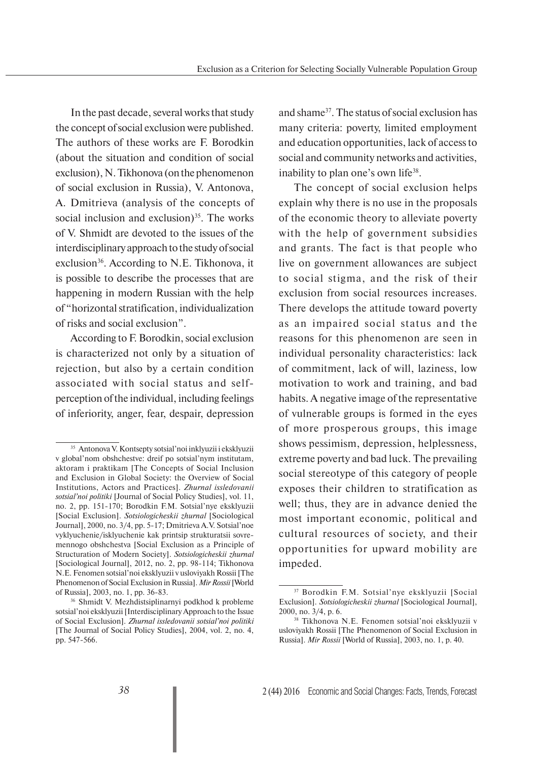In the past decade, several works that study the concept of social exclusion were published. The authors of these works are F. Borodkin (about the situation and condition of social exclusion), N. Tikhonova (on the phenomenon of social exclusion in Russia), V. Antonova, A. Dmitrieva (analysis of the concepts of social inclusion and exclusion) $35$ . The works of V. Shmidt are devoted to the issues of the interdisciplinary approach to the study of social exclusion<sup>36</sup>. According to N.E. Tikhonova, it is possible to describe the processes that are happening in modern Russian with the help of "horizontal stratification, individualization of risks and social exclusion".

According to F. Borodkin, social exclusion is characterized not only by a situation of rejection, but also by a certain condition associated with social status and selfperception of the individual, including feelings of inferiority, anger, fear, despair, depression

and shame37. The status of social exclusion has many criteria: poverty, limited employment and education opportunities, lack of access to social and community networks and activities, inability to plan one's own life<sup>38</sup>.

The concept of social exclusion helps explain why there is no use in the proposals of the economic theory to alleviate poverty with the help of government subsidies and grants. The fact is that people who live on government allowances are subject to social stigma, and the risk of their exclusion from social resources increases. There develops the attitude toward poverty as an impaired social status and the reasons for this phenomenon are seen in individual personality characteristics: lack of commitment, lack of will, laziness, low motivation to work and training, and bad habits. A negative image of the representative of vulnerable groups is formed in the eyes of more prosperous groups, this image shows pessimism, depression, helplessness, extreme poverty and bad luck. The prevailing social stereotype of this category of people exposes their children to stratification as well; thus, they are in advance denied the most important economic, political and cultural resources of society, and their opportunities for upward mobility are impeded.

<sup>35</sup> Antonova V. Kontsepty sotsial'noi inklyuzii i eksklyuzii v global'nom obshchestve: dreif po sotsial'nym institutam, aktoram i praktikam [The Concepts of Social Inclusion and Exclusion in Global Society: the Overview of Social Institutions, Actors and Practices]. *Zhurnal issledovanii sotsial'noi politiki* [Journal of Social Policy Studies], vol. 11, no. 2, pp. 151-170; Borodkin F.M. Sotsial'nye eksklyuzii [Social Exclusion]. *Sotsiologicheskii zhurnal* [Sociological Journal], 2000, no. 3/4, pp. 5-17; Dmitrieva A.V. Sotsial'noe vyklyuchenie/isklyuchenie kak printsip strukturatsii sovremennogo obshchestva [Social Exclusion as a Principle of Structuration of Modern Society]. *Sotsiologicheskii zhurnal*  [Sociological Journal], 2012, no. 2, pp. 98-114; Tikhonova N.E. Fenomen sotsial'noi eksklyuzii v usloviyakh Rossii [The Phenomenon of Social Exclusion in Russia]. *Mir Rossii* [World of Russia], 2003, no. 1, pp. 36-83.

<sup>36</sup> Shmidt V. Mezhdistsiplinarnyi podkhod k probleme sotsial'noi eksklyuzii [Interdisciplinary Approach to the Issue of Social Exclusion]. *Zhurnal issledovanii sotsial'noi politiki*  [The Journal of Social Policy Studies], 2004, vol. 2, no. 4, pp. 547-566.

<sup>37</sup> Borodkin F.M. Sotsial'nye eksklyuzii [Social Exclusion]. *Sotsiologicheskii zhurnal* [Sociological Journal], 2000, no. 3/4, p. 6.

<sup>38</sup> Tikhonova N.E. Fenomen sotsial'noi eksklyuzii v usloviyakh Rossii [The Phenomenon of Social Exclusion in Russia]. *Mir Rossii* [World of Russia], 2003, no. 1, p. 40.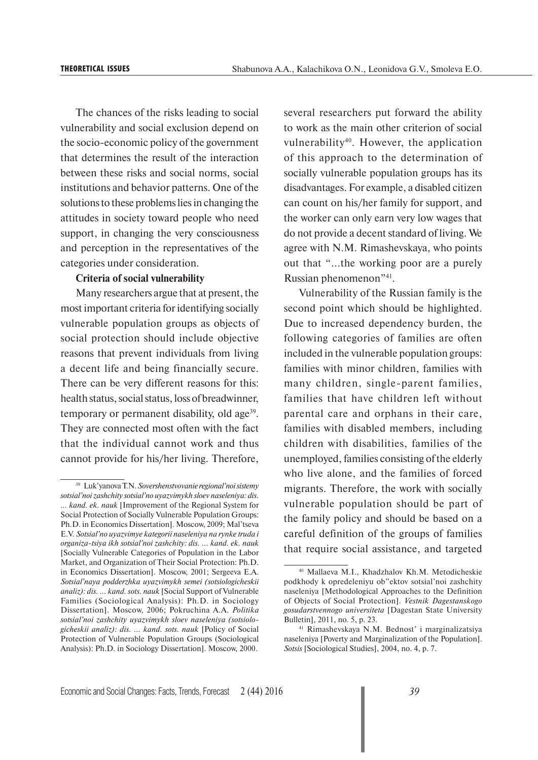The chances of the risks leading to social vulnerability and social exclusion depend on the socio-economic policy of the government that determines the result of the interaction between these risks and social norms, social institutions and behavior patterns. One of the solutions to these problems lies in changing the attitudes in society toward people who need support, in changing the very consciousness and perception in the representatives of the categories under consideration.

#### **Criteria of social vulnerability**

Many researchers argue that at present, the most important criteria for identifying socially vulnerable population groups as objects of social protection should include objective reasons that prevent individuals from living a decent life and being financially secure. There can be very different reasons for this: health status, social status, loss of breadwinner, temporary or permanent disability, old age<sup>39</sup>. They are connected most often with the fact that the individual cannot work and thus cannot provide for his/her living. Therefore,

several researchers put forward the ability to work as the main other criterion of social vulnerability<sup>40</sup>. However, the application of this approach to the determination of socially vulnerable population groups has its disadvantages. For example, a disabled citizen can count on his/her family for support, and the worker can only earn very low wages that do not provide a decent standard of living. We agree with N.M. Rimashevskaya, who points out that "...the working poor are a purely Russian phenomenon"41.

Vulnerability of the Russian family is the second point which should be highlighted. Due to increased dependency burden, the following categories of families are often included in the vulnerable population groups: families with minor children, families with many children, single-parent families, families that have children left without parental care and orphans in their care, families with disabled members, including children with disabilities, families of the unemployed, families consisting of the elderly who live alone, and the families of forced migrants. Therefore, the work with socially vulnerable population should be part of the family policy and should be based on a careful definition of the groups of families that require social assistance, and targeted

<sup>39</sup> Luk'yanova T.N. *Sovershenstvovanie regional'noi sistemy sotsial'noi zashchity sotsial'no uyazvimykh sloev naseleniya: dis. … kand. ek. nauk* [Improvement of the Regional System for Social Protection of Socially Vulnerable Population Groups: Ph.D. in Economics Dissertation]. Moscow, 2009; Mal'tseva E.V. *Sotsial'no uyazvimye kategorii naseleniya na rynke truda i organiza-tsiya ikh sotsial'noi zashchity: dis. … kand. ek. nauk*  [Socially Vulnerable Categories of Population in the Labor Market, and Organization of Their Social Protection: Ph.D. in Economics Dissertation]. Moscow, 2001; Sergeeva E.A. *Sotsial'naya podderzhka uyazvimykh semei (sotsiologicheskii analiz): dis. … kand. sots. nauk* [Social Support of Vulnerable Families (Sociological Analysis): Ph.D. in Sociology Dissertation]. Moscow, 2006; Pokruchina A.A. *Politika sotsial'noi zashchity uyazvimykh sloev naseleniya (sotsiologicheskii analiz): dis. … kand. sots. nauk* [Policy of Social Protection of Vulnerable Population Groups (Sociological Analysis): Ph.D. in Sociology Dissertation]. Moscow, 2000.

<sup>40</sup> Mallaeva M.I., Khadzhalov Kh.M. Metodicheskie podkhody k opredeleniyu ob"ektov sotsial'noi zashchity naseleniya [Methodological Approaches to the Definition of Objects of Social Protection]. *Vestnik Dagestanskogo gosudarstvennogo universiteta* [Dagestan State University Bulletin], 2011, no. 5, p. 23.

<sup>41</sup> Rimashevskaya N.M. Bednost' i marginalizatsiya naseleniya [Poverty and Marginalization of the Population]. *Sotsis* [Sociological Studies], 2004, no. 4, p. 7.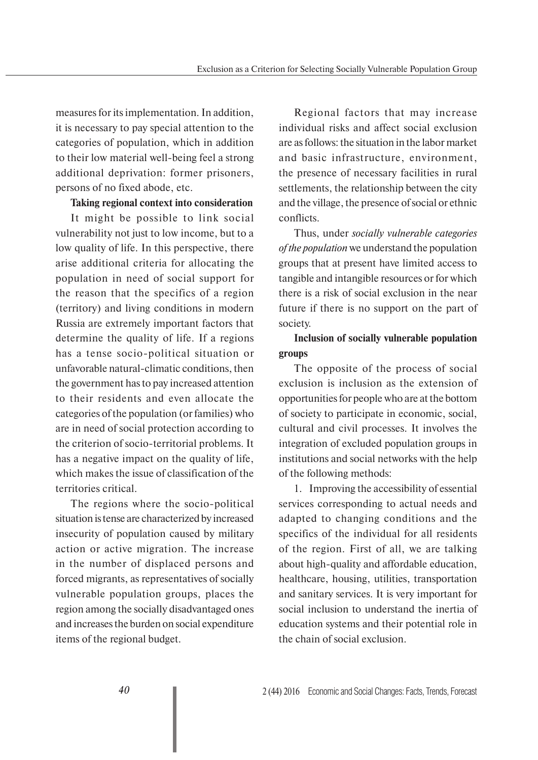measures for its implementation. In addition, it is necessary to pay special attention to the categories of population, which in addition to their low material well-being feel a strong additional deprivation: former prisoners, persons of no fixed abode, etc.

#### **Taking regional context into consideration**

It might be possible to link social vulnerability not just to low income, but to a low quality of life. In this perspective, there arise additional criteria for allocating the population in need of social support for the reason that the specifics of a region (territory) and living conditions in modern Russia are extremely important factors that determine the quality of life. If a regions has a tense socio-political situation or unfavorable natural-climatic conditions, then the government has to pay increased attention to their residents and even allocate the categories of the population (or families) who are in need of social protection according to the criterion of socio-territorial problems. It has a negative impact on the quality of life, which makes the issue of classification of the territories critical.

The regions where the socio-political situation is tense are characterized by increased insecurity of population caused by military action or active migration. The increase in the number of displaced persons and forced migrants, as representatives of socially vulnerable population groups, places the region among the socially disadvantaged ones and increases the burden on social expenditure items of the regional budget.

Regional factors that may increase individual risks and affect social exclusion are as follows: the situation in the labor market and basic infrastructure, environment, the presence of necessary facilities in rural settlements, the relationship between the city and the village, the presence of social or ethnic conflicts.

Thus, under *socially vulnerable categories of the population* we understand the population groups that at present have limited access to tangible and intangible resources or for which there is a risk of social exclusion in the near future if there is no support on the part of society.

### **Inclusion of socially vulnerable population groups**

The opposite of the process of social exclusion is inclusion as the extension of opportunities for people who are at the bottom of society to participate in economic, social, cultural and civil processes. It involves the integration of excluded population groups in institutions and social networks with the help of the following methods:

1. Improving the accessibility of essential services corresponding to actual needs and adapted to changing conditions and the specifics of the individual for all residents of the region. First of all, we are talking about high-quality and affordable education, healthcare, housing, utilities, transportation and sanitary services. It is very important for social inclusion to understand the inertia of education systems and their potential role in the chain of social exclusion.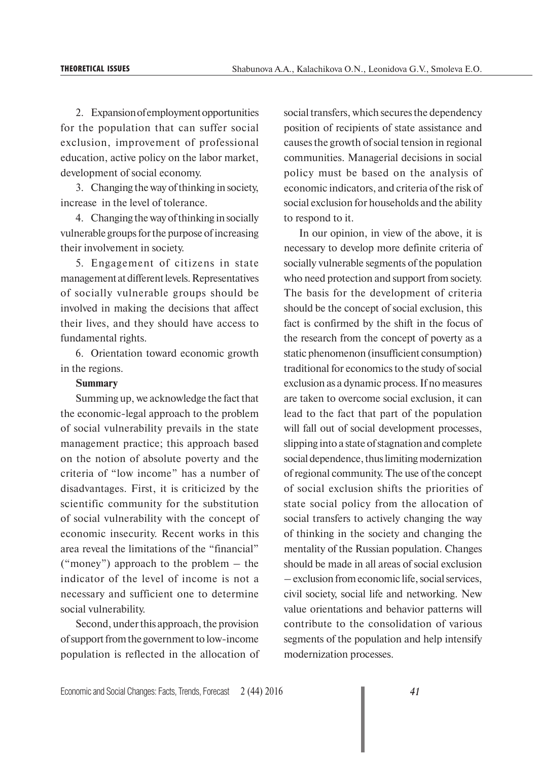2. Expansion of employment opportunities for the population that can suffer social exclusion, improvement of professional education, active policy on the labor market, development of social economy.

3. Changing the way of thinking in society, increase in the level of tolerance.

4. Changing the way of thinking in socially vulnerable groups for the purpose of increasing their involvement in society.

5. Engagement of citizens in state management at different levels. Representatives of socially vulnerable groups should be involved in making the decisions that affect their lives, and they should have access to fundamental rights.

6. Orientation toward economic growth in the regions.

#### **Summary**

Summing up, we acknowledge the fact that the economic-legal approach to the problem of social vulnerability prevails in the state management practice; this approach based on the notion of absolute poverty and the criteria of "low income" has a number of disadvantages. First, it is criticized by the scientific community for the substitution of social vulnerability with the concept of economic insecurity. Recent works in this area reveal the limitations of the "financial" ("money") approach to the problem – the indicator of the level of income is not a necessary and sufficient one to determine social vulnerability.

Second, under this approach, the provision of support from the government to low-income population is reflected in the allocation of social transfers, which secures the dependency position of recipients of state assistance and causes the growth of social tension in regional communities. Managerial decisions in social policy must be based on the analysis of economic indicators, and criteria of the risk of social exclusion for households and the ability to respond to it.

In our opinion, in view of the above, it is necessary to develop more definite criteria of socially vulnerable segments of the population who need protection and support from society. The basis for the development of criteria should be the concept of social exclusion, this fact is confirmed by the shift in the focus of the research from the concept of poverty as a static phenomenon (insufficient consumption) traditional for economics to the study of social exclusion as a dynamic process. If no measures are taken to overcome social exclusion, it can lead to the fact that part of the population will fall out of social development processes, slipping into a state of stagnation and complete social dependence, thus limiting modernization of regional community. The use of the concept of social exclusion shifts the priorities of state social policy from the allocation of social transfers to actively changing the way of thinking in the society and changing the mentality of the Russian population. Changes should be made in all areas of social exclusion – exclusion from economic life, social services, civil society, social life and networking. New value orientations and behavior patterns will contribute to the consolidation of various segments of the population and help intensify modernization processes.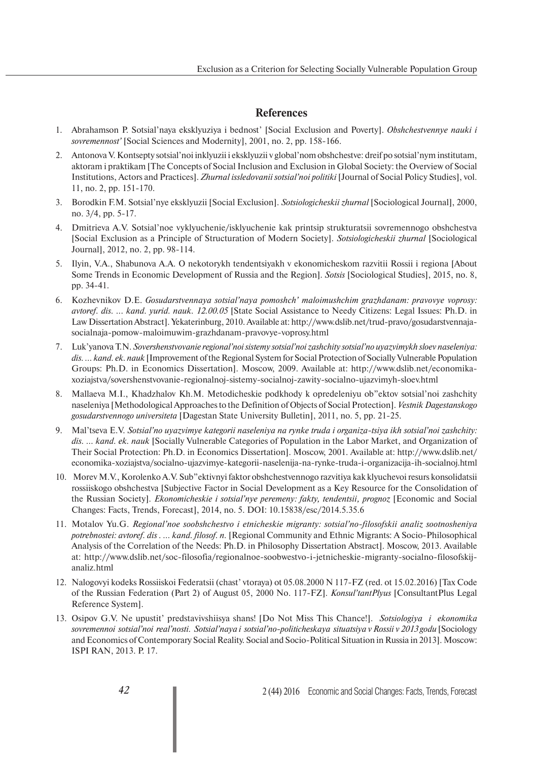#### **References**

- 1. Abrahamson P. Sotsial'naya eksklyuziya i bednost' [Social Exclusion and Poverty]. *Obshchestvennye nauki i sovremennost'* [Social Sciences and Modernity], 2001, no. 2, pp. 158-166.
- 2. Antonova V. Kontsepty sotsial'noi inklyuzii i eksklyuzii v global'nom obshchestve: dreif po sotsial'nym institutam, aktoram i praktikam [The Concepts of Social Inclusion and Exclusion in Global Society: the Overview of Social Institutions, Actors and Practices]. *Zhurnal issledovanii sotsial'noi politiki* [Journal of Social Policy Studies], vol. 11, no. 2, pp. 151-170.
- 3. Borodkin F.M. Sotsial'nye eksklyuzii [Social Exclusion]. *Sotsiologicheskii zhurnal* [Sociological Journal], 2000, no. 3/4, pp. 5-17.
- 4. Dmitrieva A.V. Sotsial'noe vyklyuchenie/isklyuchenie kak printsip strukturatsii sovremennogo obshchestva [Social Exclusion as a Principle of Structuration of Modern Society]. *Sotsiologicheskii zhurnal* [Sociological Journal], 2012, no. 2, pp. 98-114.
- 5. Ilyin, V.A., Shabunova A.A. O nekotorykh tendentsiyakh v ekonomicheskom razvitii Rossii i regiona [About Some Trends in Economic Development of Russia and the Region]. *Sotsis* [Sociological Studies], 2015, no. 8, pp. 34-41.
- 6. Kozhevnikov D.E. *Gosudarstvennaya sotsial'naya pomoshch' maloimushchim grazhdanam: pravovye voprosy: avtoref. dis. ... kand. yurid. nauk. 12.00.05* [State Social Assistance to Needy Citizens: Legal Issues: Ph.D. in Law Dissertation Abstract]. Yekaterinburg, 2010. Available at: http://www.dslib.net/trud-pravo/gosudarstvennajasocialnaja-pomow-maloimuwim-grazhdanam-pravovye-voprosy.html
- 7. Luk'yanova T.N. *Sovershenstvovanie regional'noi sistemy sotsial'noi zashchity sotsial'no uyazvimykh sloev naseleniya: dis. … kand. ek. nauk* [Improvement of the Regional System for Social Protection of Socially Vulnerable Population Groups: Ph.D. in Economics Dissertation]. Moscow, 2009. Available at: http://www.dslib.net/economikaxoziajstva/sovershenstvovanie-regionalnoj-sistemy-socialnoj-zawity-socialno-ujazvimyh-sloev.html
- 8. Mallaeva M.I., Khadzhalov Kh.M. Metodicheskie podkhody k opredeleniyu ob"ektov sotsial'noi zashchity naseleniya [Methodological Approaches to the Definition of Objects of Social Protection]. *Vestnik Dagestanskogo gosudarstvennogo universiteta* [Dagestan State University Bulletin], 2011, no. 5, pp. 21-25.
- 9. Mal'tseva E.V. *Sotsial'no uyazvimye kategorii naseleniya na rynke truda i organiza-tsiya ikh sotsial'noi zashchity: dis. … kand. ek. nauk* [Socially Vulnerable Categories of Population in the Labor Market, and Organization of Their Social Protection: Ph.D. in Economics Dissertation]. Moscow, 2001. Available at: http://www.dslib.net/ economika-xoziajstva/socialno-ujazvimye-kategorii-naselenija-na-rynke-truda-i-organizacija-ih-socialnoj.html
- 10. Morev M.V., Korolenko A.V. Sub"ektivnyi faktor obshchestvennogo razvitiya kak klyuchevoi resurs konsolidatsii rossiiskogo obshchestva [Subjective Factor in Social Development as a Key Resource for the Consolidation of the Russian Society]. *Ekonomicheskie i sotsial'nye peremeny: fakty, tendentsii, prognoz* [Economic and Social Changes: Facts, Trends, Forecast], 2014, no. 5. DOI: 10.15838/esc/2014.5.35.6
- 11. Motalov Yu.G. *Regional'noe soobshchestvo i etnicheskie migranty: sotsial'no-filosofskii analiz sootnosheniya potrebnostei: avtoref. dis . … kand. filosof. n.* [Regional Community and Ethnic Migrants: A Socio-Philosophical Analysis of the Correlation of the Needs: Ph.D. in Philosophy Dissertation Abstract]. Moscow, 2013. Available at: http://www.dslib.net/soc-filosofia/regionalnoe-soobwestvo-i-jetnicheskie-migranty-socialno-filosofskijanaliz.html
- 12. Nalogovyi kodeks Rossiiskoi Federatsii (chast' vtoraya) ot 05.08.2000 N 117-FZ (red. ot 15.02.2016) [Tax Code of the Russian Federation (Part 2) of August 05, 2000 No. 117-FZ]. *Konsul'tantPlyus* [ConsultantPlus Legal Reference System].
- 13. Osipov G.V. Ne upustit' predstavivshiisya shans! [Do Not Miss This Chance!]. *Sotsiologiya i ekonomika sovremennoi sotsial'noi real'nosti. Sotsial'naya i sotsial'no-politicheskaya situatsiya v Rossii v 2013 godu* [Sociology and Economics of Contemporary Social Reality. Social and Socio-Political Situation in Russia in 2013]. Moscow: ISPI RAN, 2013. P. 17.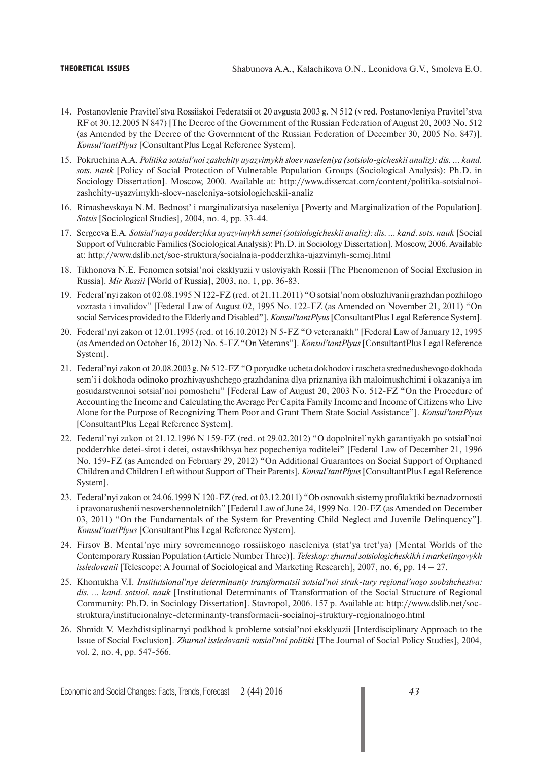- 14. Postanovlenie Pravitel'stva Rossiiskoi Federatsii ot 20 avgusta 2003 g. N 512 (v red. Postanovleniya Pravitel'stva RF ot 30.12.2005 N 847) [The Decree of the Government of the Russian Federation of August 20, 2003 No. 512 (as Amended by the Decree of the Government of the Russian Federation of December 30, 2005 No. 847)]. *Konsul'tantPlyus* [ConsultantPlus Legal Reference System].
- 15. Pokruchina A.A. *Politika sotsial'noi zashchity uyazvimykh sloev naseleniya (sotsiolo-gicheskii analiz): dis. … kand. sots. nauk* [Policy of Social Protection of Vulnerable Population Groups (Sociological Analysis): Ph.D. in Sociology Dissertation]. Moscow, 2000. Available at: http://www.dissercat.com/content/politika-sotsialnoizashchity-uyazvimykh-sloev-naseleniya-sotsiologicheskii-analiz
- 16. Rimashevskaya N.M. Bednost' i marginalizatsiya naseleniya [Poverty and Marginalization of the Population]. *Sotsis* [Sociological Studies], 2004, no. 4, pp. 33-44.
- 17. Sergeeva E.A*. Sotsial'naya podderzhka uyazvimykh semei (sotsiologicheskii analiz): dis. … kand. sots. nauk* [Social Support of Vulnerable Families (Sociological Analysis): Ph.D. in Sociology Dissertation]. Moscow, 2006. Available at: http://www.dslib.net/soc-struktura/socialnaja-podderzhka-ujazvimyh-semej.html
- 18. Tikhonova N.E. Fenomen sotsial'noi eksklyuzii v usloviyakh Rossii [The Phenomenon of Social Exclusion in Russia]. *Mir Rossii* [World of Russia], 2003, no. 1, pp. 36-83.
- 19. Federal'nyi zakon ot 02.08.1995 N 122-FZ (red. ot 21.11.2011) "O sotsial'nom obsluzhivanii grazhdan pozhilogo vozrasta i invalidov" [Federal Law of August 02, 1995 No. 122-FZ (as Amended on November 21, 2011) "On social Services provided to the Elderly and Disabled"]. *Konsul'tantPlyus* [ConsultantPlus Legal Reference System].
- 20. Federal'nyi zakon ot 12.01.1995 (red. ot 16.10.2012) N 5-FZ "O veteranakh" [Federal Law of January 12, 1995 (as Amended on October 16, 2012) No. 5-FZ "On Veterans"]. *Konsul'tantPlyus* [ConsultantPlus Legal Reference System].
- 21. Federal'nyi zakon ot 20.08.2003 g. № 512-FZ "O poryadke ucheta dokhodov i rascheta srednedushevogo dokhoda sem'i i dokhoda odinoko prozhivayushchego grazhdanina dlya priznaniya ikh maloimushchimi i okazaniya im gosudarstvennoi sotsial'noi pomoshchi" [Federal Law of August 20, 2003 No. 512-FZ "On the Procedure of Accounting the Income and Calculating the Average Per Capita Family Income and Income of Citizens who Live Alone for the Purpose of Recognizing Them Poor and Grant Them State Social Assistance"]. *Konsul'tantPlyus* [ConsultantPlus Legal Reference System].
- 22. Federal'nyi zakon ot 21.12.1996 N 159-FZ (red. ot 29.02.2012) "O dopolnitel'nykh garantiyakh po sotsial'noi podderzhke detei-sirot i detei, ostavshikhsya bez popecheniya roditelei" [Federal Law of December 21, 1996 No. 159-FZ (as Amended on February 29, 2012) "On Additional Guarantees on Social Support of Orphaned Children and Children Left without Support of Their Parents]. *Konsul'tantPlyus* [ConsultantPlus Legal Reference System].
- 23. Federal'nyi zakon ot 24.06.1999 N 120-FZ (red. ot 03.12.2011) "Ob osnovakh sistemy profilaktiki beznadzornosti i pravonarushenii nesovershennoletnikh" [Federal Law of June 24, 1999 No. 120-FZ (as Amended on December 03, 2011) "On the Fundamentals of the System for Preventing Child Neglect and Juvenile Delinquency"]. *Konsul'tantPlyus* [ConsultantPlus Legal Reference System].
- 24. Firsov B. Mental'nye miry sovremennogo rossiiskogo naseleniya (stat'ya tret'ya) [Mental Worlds of the Contemporary Russian Population (Article Number Three)]. *Teleskop: zhurnal sotsiologicheskikh i marketingovykh issledovanii* [Telescope: A Journal of Sociological and Marketing Research], 2007, no. 6, pp. 14 – 27.
- 25. Khomukha V.I. *Institutsional'nye determinanty transformatsii sotsial'noi struk-tury regional'nogo soobshchestva: dis. … kand. sotsiol. nauk* [Institutional Determinants of Transformation of the Social Structure of Regional Community: Ph.D. in Sociology Dissertation]. Stavropol, 2006. 157 p. Available at: http://www.dslib.net/socstruktura/institucionalnye-determinanty-transformacii-socialnoj-struktury-regionalnogo.html
- 26. Shmidt V. Mezhdistsiplinarnyi podkhod k probleme sotsial'noi eksklyuzii [Interdisciplinary Approach to the Issue of Social Exclusion]. *Zhurnal issledovanii sotsial'noi politiki* [The Journal of Social Policy Studies], 2004, vol. 2, no. 4, pp. 547-566.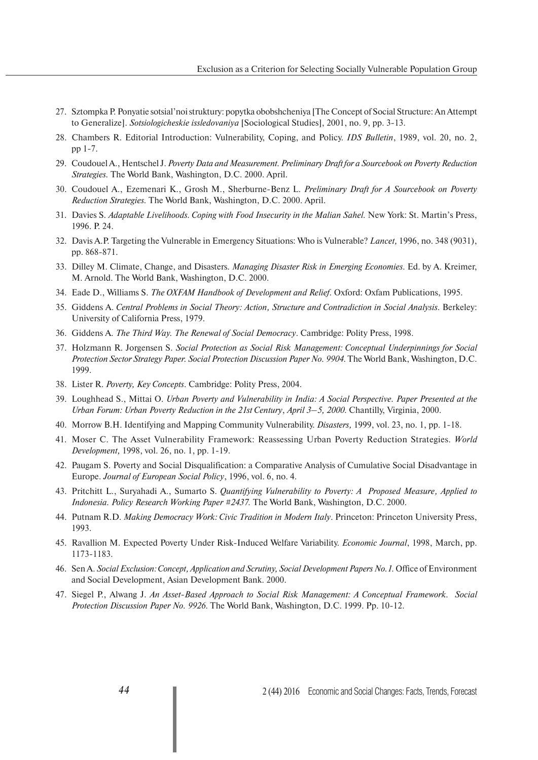- 27. Sztompka P. Ponyatie sotsial'noi struktury: popytka obobshcheniya [The Concept of Social Structure: An Attempt to Generalize]. *Sotsiologicheskie issledovaniya* [Sociological Studies], 2001, no. 9, pp. 3-13.
- 28. Chambers R. Editorial Introduction: Vulnerability, Coping, and Policy. *IDS Bulletin*, 1989, vol. 20, no. 2, pp 1-7.
- 29. Coudouel A., Hentschel J. *Poverty Data and Measurement. Preliminary Draft for a Sourcebook on Poverty Reduction Strategies.* The World Bank, Washington, D.C. 2000. April.
- 30. Coudouel A., Ezemenari K., Grosh M., Sherburne-Benz L. *Preliminary Draft for A Sourcebook on Poverty Reduction Strategies.* The World Bank, Washington, D.C. 2000. April.
- 31. Davies S. *Adaptable Livelihoods. Coping with Food Insecurity in the Malian Sahel.* New York: St. Martin's Press, 1996. P. 24.
- 32. Davis A.P. Targeting the Vulnerable in Emergency Situations: Who is Vulnerable? *Lancet,* 1996, no. 348 (9031), pp. 868-871.
- 33. Dilley M. Climate, Change, and Disasters. *Managing Disaster Risk in Emerging Economies*. Ed. by A. Kreimer, M. Arnold. The World Bank, Washington, D.C. 2000.
- 34. Eade D., Williams S. *The OXFAM Handbook of Development and Relief.* Oxford: Oxfam Publications, 1995.
- 35. Giddens A. *Central Problems in Social Theory: Action, Structure and Contradiction in Social Analysis*. Berkeley: University of California Press, 1979.
- 36. Giddens A. *The Third Way. The Renewal of Social Democracy*. Cambridge: Polity Press, 1998.
- 37. Holzmann R. Jorgensen S. *Social Protection as Social Risk Management: Conceptual Underpinnings for Social Protection Sector Strategy Paper. Social Protection Discussion Paper No. 9904*. The World Bank, Washington, D.C. 1999.
- 38. Lister R. *Poverty, Key Concepts*. Cambridge: Polity Press, 2004.
- 39. Loughhead S., Mittai O. *Urban Poverty and Vulnerability in India: A Social Perspective. Paper Presented at the Urban Forum: Urban Poverty Reduction in the 21st Century*, *April 3–5, 2000*. Chantilly, Virginia, 2000.
- 40. Morrow B.H. Identifying and Mapping Community Vulnerability. *Disasters,* 1999, vol. 23, no. 1, pp. 1-18.
- 41. Moser C. The Asset Vulnerability Framework: Reassessing Urban Poverty Reduction Strategies. *World Development,* 1998, vol. 26, no. 1, pp. 1-19.
- 42. Paugam S. Poverty and Social Disqualification: a Comparative Analysis of Cumulative Social Disadvantage in Europe. *Journal of European Social Policy*, 1996, vol. 6, no. 4.
- 43. Pritchitt L., Suryahadi A., Sumarto S. *Quantifying Vulnerability to Poverty: A Proposed Measure, Applied to Indonesia. Policy Research Working Paper #2437.* The World Bank, Washington, D.C. 2000.
- 44. Putnam R.D. *Making Democracy Work: Civic Tradition in Modern Italy*. Princeton: Princeton University Press, 1993.
- 45. Ravallion M. Expected Poverty Under Risk-Induced Welfare Variability. *Economic Journal*, 1998, March, pp. 1173-1183.
- 46. Sen A. *Social Exclusion: Concept, Application and Scrutiny, Social Development Papers No.1.* Office of Environment and Social Development, Asian Development Bank. 2000.
- 47. Siegel P., Alwang J. *An Asset-Based Approach to Social Risk Management: A Conceptual Framework. Social Protection Discussion Paper No. 9926*. The World Bank, Washington, D.C. 1999. Pp. 10-12.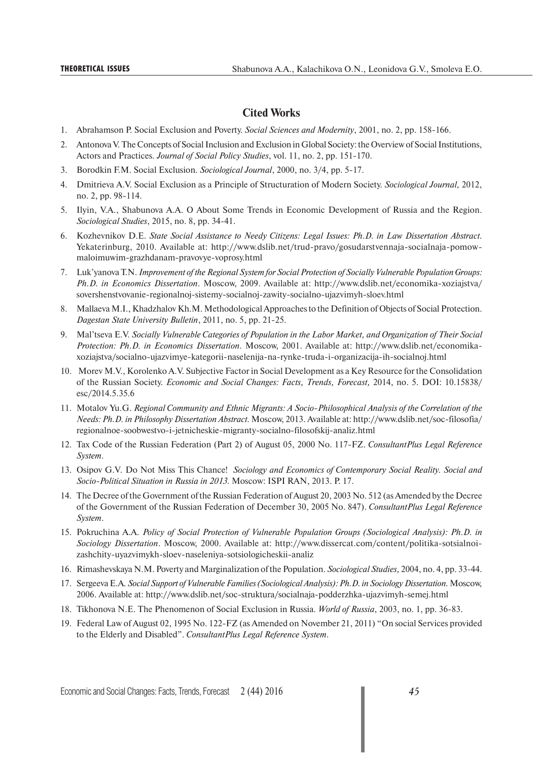#### **Cited Works**

- 1. Abrahamson P. Social Exclusion and Poverty. *Social Sciences and Modernity*, 2001, no. 2, pp. 158-166.
- 2. Antonova V. The Concepts of Social Inclusion and Exclusion in Global Society: the Overview of Social Institutions, Actors and Practices. *Journal of Social Policy Studies*, vol. 11, no. 2, pp. 151-170.
- 3. Borodkin F.M. Social Exclusion. *Sociological Journal*, 2000, no. 3/4, pp. 5-17.
- 4. Dmitrieva A.V. Social Exclusion as a Principle of Structuration of Modern Society. *Sociological Journal,* 2012, no. 2, pp. 98-114.
- 5. Ilyin, V.A., Shabunova A.A. O About Some Trends in Economic Development of Russia and the Region. *Sociological Studies*, 2015, no. 8, pp. 34-41.
- 6. Kozhevnikov D.E. *State Social Assistance to Needy Citizens: Legal Issues: Ph.D. in Law Dissertation Abstract.* Yekaterinburg, 2010. Available at: http://www.dslib.net/trud-pravo/gosudarstvennaja-socialnaja-pomowmaloimuwim-grazhdanam-pravovye-voprosy.html
- 7. Luk'yanova T.N. *Improvement of the Regional System for Social Protection of Socially Vulnerable Population Groups: Ph.D. in Economics Dissertation*. Moscow, 2009. Available at: http://www.dslib.net/economika-xoziajstva/ sovershenstvovanie-regionalnoj-sistemy-socialnoj-zawity-socialno-ujazvimyh-sloev.html
- 8. Mallaeva M.I., Khadzhalov Kh.M. Methodological Approaches to the Definition of Objects of Social Protection. *Dagestan State University Bulletin*, 2011, no. 5, pp. 21-25.
- 9. Mal'tseva E.V. *Socially Vulnerable Categories of Population in the Labor Market, and Organization of Their Social Protection: Ph.D. in Economics Dissertation.* Moscow, 2001. Available at: http://www.dslib.net/economikaxoziajstva/socialno-ujazvimye-kategorii-naselenija-na-rynke-truda-i-organizacija-ih-socialnoj.html
- 10. Morev M.V., Korolenko A.V. Subjective Factor in Social Development as a Key Resource for the Consolidation of the Russian Society. *Economic and Social Changes: Facts, Trends, Forecast,* 2014, no. 5. DOI: 10.15838/ esc/2014.5.35.6
- 11. Motalov Yu.G. *Regional Community and Ethnic Migrants: A Socio-Philosophical Analysis of the Correlation of the Needs: Ph.D. in Philosophy Dissertation Abstract.* Moscow, 2013. Available at: http://www.dslib.net/soc-filosofia/ regionalnoe-soobwestvo-i-jetnicheskie-migranty-socialno-filosofskij-analiz.html
- 12. Tax Code of the Russian Federation (Part 2) of August 05, 2000 No. 117-FZ. *ConsultantPlus Legal Reference System*.
- 13. Osipov G.V*.* Do Not Miss This Chance! *Sociology and Economics of Contemporary Social Reality. Social and Socio-Political Situation in Russia in 2013.* Moscow: ISPI RAN, 2013. P. 17.
- 14. The Decree of the Government of the Russian Federation of August 20, 2003 No. 512 (as Amended by the Decree of the Government of the Russian Federation of December 30, 2005 No. 847). *ConsultantPlus Legal Reference System*.
- 15. Pokruchina A.A. *Policy of Social Protection of Vulnerable Population Groups (Sociological Analysis): Ph.D. in Sociology Dissertation*. Moscow, 2000. Available at: http://www.dissercat.com/content/politika-sotsialnoizashchity-uyazvimykh-sloev-naseleniya-sotsiologicheskii-analiz
- 16. Rimashevskaya N.M. Poverty and Marginalization of the Population. *Sociological Studies,* 2004, no. 4, pp. 33-44.
- 17. Sergeeva E.A*. Social Support of Vulnerable Families (Sociological Analysis): Ph.D. in Sociology Dissertation.* Moscow, 2006. Available at: http://www.dslib.net/soc-struktura/socialnaja-podderzhka-ujazvimyh-semej.html
- 18. Tikhonova N.E. The Phenomenon of Social Exclusion in Russia. *World of Russia*, 2003, no. 1, pp. 36-83.
- 19. Federal Law of August 02, 1995 No. 122-FZ (as Amended on November 21, 2011) "On social Services provided to the Elderly and Disabled". *ConsultantPlus Legal Reference System*.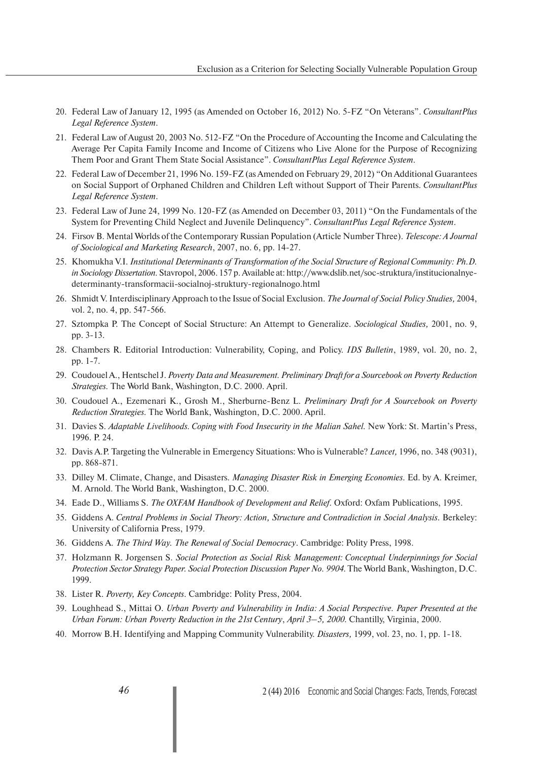- 20. Federal Law of January 12, 1995 (as Amended on October 16, 2012) No. 5-FZ "On Veterans". *ConsultantPlus Legal Reference System*.
- 21. Federal Law of August 20, 2003 No. 512-FZ "On the Procedure of Accounting the Income and Calculating the Average Per Capita Family Income and Income of Citizens who Live Alone for the Purpose of Recognizing Them Poor and Grant Them State Social Assistance". *ConsultantPlus Legal Reference System*.
- 22. Federal Law of December 21, 1996 No. 159-FZ (as Amended on February 29, 2012) "On Additional Guarantees on Social Support of Orphaned Children and Children Left without Support of Their Parents. *ConsultantPlus Legal Reference System*.
- 23. Federal Law of June 24, 1999 No. 120-FZ (as Amended on December 03, 2011) "On the Fundamentals of the System for Preventing Child Neglect and Juvenile Delinquency". *ConsultantPlus Legal Reference System*.
- 24. Firsov B. Mental Worlds of the Contemporary Russian Population (Article Number Three). *Telescope: A Journal of Sociological and Marketing Research*, 2007, no. 6, pp. 14-27.
- 25. Khomukha V.I. *Institutional Determinants of Transformation of the Social Structure of Regional Community: Ph.D. in Sociology Dissertation.* Stavropol, 2006. 157 p. Available at: http://www.dslib.net/soc-struktura/institucionalnyedeterminanty-transformacii-socialnoj-struktury-regionalnogo.html
- 26. Shmidt V. Interdisciplinary Approach to the Issue of Social Exclusion. *The Journal of Social Policy Studies,* 2004, vol. 2, no. 4, pp. 547-566.
- 27. Sztompka P. The Concept of Social Structure: An Attempt to Generalize. *Sociological Studies,* 2001, no. 9, pp. 3-13.
- 28. Chambers R. Editorial Introduction: Vulnerability, Coping, and Policy. *IDS Bulletin*, 1989, vol. 20, no. 2, pp. 1-7.
- 29. Coudouel A., Hentschel J. *Poverty Data and Measurement. Preliminary Draft for a Sourcebook on Poverty Reduction Strategies.* The World Bank, Washington, D.C. 2000. April.
- 30. Coudouel A., Ezemenari K., Grosh M., Sherburne-Benz L. *Preliminary Draft for A Sourcebook on Poverty Reduction Strategies.* The World Bank, Washington, D.C. 2000. April.
- 31. Davies S. *Adaptable Livelihoods. Coping with Food Insecurity in the Malian Sahel.* New York: St. Martin's Press, 1996. P. 24.
- 32. Davis A.P. Targeting the Vulnerable in Emergency Situations: Who is Vulnerable? *Lancet,* 1996, no. 348 (9031), pp. 868-871.
- 33. Dilley M. Climate, Change, and Disasters. *Managing Disaster Risk in Emerging Economies*. Ed. by A. Kreimer, M. Arnold. The World Bank, Washington, D.C. 2000.
- 34. Eade D., Williams S. *The OXFAM Handbook of Development and Relief.* Oxford: Oxfam Publications, 1995.
- 35. Giddens A. *Central Problems in Social Theory: Action, Structure and Contradiction in Social Analysis*. Berkeley: University of California Press, 1979.
- 36. Giddens A. *The Third Way. The Renewal of Social Democracy*. Cambridge: Polity Press, 1998.
- 37. Holzmann R. Jorgensen S. *Social Protection as Social Risk Management: Conceptual Underpinnings for Social Protection Sector Strategy Paper. Social Protection Discussion Paper No. 9904*. The World Bank, Washington, D.C. 1999.
- 38. Lister R. *Poverty, Key Concepts*. Cambridge: Polity Press, 2004.
- 39. Loughhead S., Mittai O. *Urban Poverty and Vulnerability in India: A Social Perspective. Paper Presented at the Urban Forum: Urban Poverty Reduction in the 21st Century*, *April 3–5, 2000*. Chantilly, Virginia, 2000.
- 40. Morrow B.H. Identifying and Mapping Community Vulnerability. *Disasters,* 1999, vol. 23, no. 1, pp. 1-18.